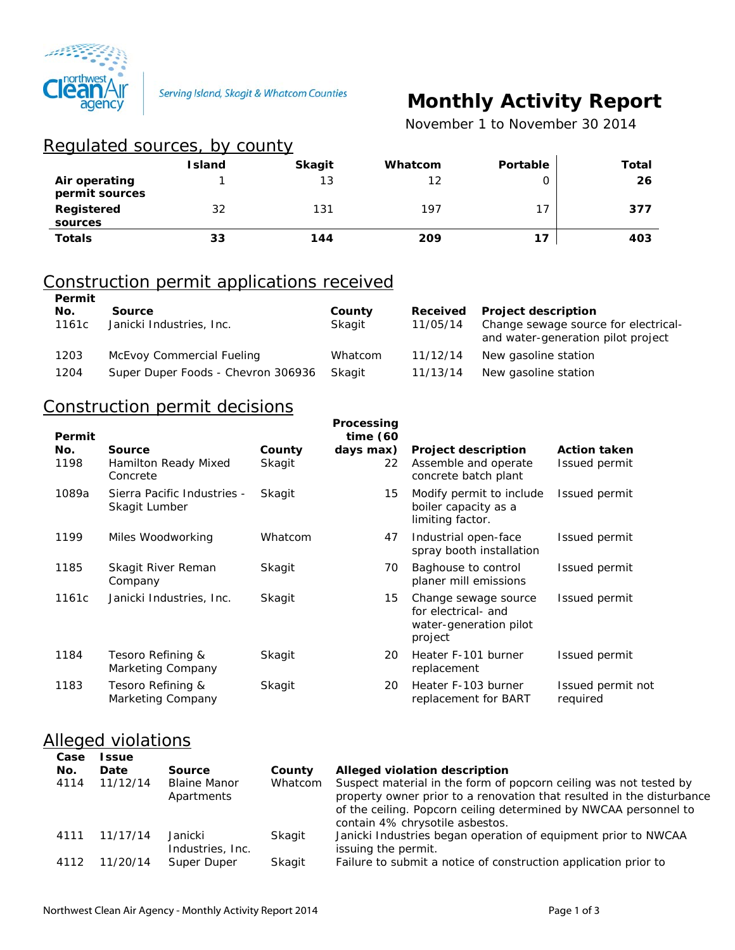

# **Monthly Activity Report**

 *November 1 to November 30 2014*

| Regulated sources, by county    |               |               |         |          |       |
|---------------------------------|---------------|---------------|---------|----------|-------|
|                                 | <b>Island</b> | <b>Skagit</b> | Whatcom | Portable | Total |
| Air operating<br>permit sources |               | 13            | 12      | Ο        | 26    |
| Registered<br>sources           | 32            | 131           | 197     | 17       | 377   |
| <b>Totals</b>                   | 33            | 144           | 209     | 17       | 403   |

#### Construction permit applications received **Permit**

| F 51 1 1 1 1 L<br>No.<br>1161c | Source<br>Janicki Industries, Inc. | County<br>Skagit | Received<br>11/05/14 | <b>Project description</b><br>Change sewage source for electrical-<br>and water-generation pilot project |
|--------------------------------|------------------------------------|------------------|----------------------|----------------------------------------------------------------------------------------------------------|
| 1203                           | McEvoy Commercial Fueling          | Whatcom          | 11/12/14             | New gasoline station                                                                                     |
| 1204                           | Super Duper Foods - Chevron 306936 | Skagit           | 11/13/14             | New gasoline station                                                                                     |

# Construction permit decisions

| Permit      |                                              |                  | Processing<br>time $(60)$ |                                                                                  |                                      |
|-------------|----------------------------------------------|------------------|---------------------------|----------------------------------------------------------------------------------|--------------------------------------|
| No.<br>1198 | Source<br>Hamilton Ready Mixed<br>Concrete   | County<br>Skagit | days max)<br>22           | <b>Project description</b><br>Assemble and operate<br>concrete batch plant       | <b>Action taken</b><br>Issued permit |
| 1089a       | Sierra Pacific Industries -<br>Skagit Lumber | Skagit           | 15                        | Modify permit to include<br>boiler capacity as a<br>limiting factor.             | Issued permit                        |
| 1199        | Miles Woodworking                            | Whatcom          | 47                        | Industrial open-face<br>spray booth installation                                 | Issued permit                        |
| 1185        | Skagit River Reman<br>Company                | Skagit           | 70                        | Baghouse to control<br>planer mill emissions                                     | Issued permit                        |
| 1161c       | Janicki Industries, Inc.                     | Skagit           | 15                        | Change sewage source<br>for electrical- and<br>water-generation pilot<br>project | Issued permit                        |
| 1184        | Tesoro Refining &<br>Marketing Company       | Skagit           | 20                        | Heater F-101 burner<br>replacement                                               | Issued permit                        |
| 1183        | Tesoro Refining &<br>Marketing Company       | Skagit           | 20                        | Heater F-103 burner<br>replacement for BART                                      | Issued permit not<br>required        |
|             |                                              |                  |                           |                                                                                  |                                      |

### Alleged violations

| Case<br>No. | <b>Issue</b><br>Date | <b>Source</b>                     | County  | Alleged violation description                                                                                                                                                                                                                     |
|-------------|----------------------|-----------------------------------|---------|---------------------------------------------------------------------------------------------------------------------------------------------------------------------------------------------------------------------------------------------------|
| 4114        | 11/12/14             | <b>Blaine Manor</b><br>Apartments | Whatcom | Suspect material in the form of popcorn ceiling was not tested by<br>property owner prior to a renovation that resulted in the disturbance<br>of the ceiling. Popcorn ceiling determined by NWCAA personnel to<br>contain 4% chrysotile asbestos. |
| 4111        | 11/17/14             | Janicki<br>Industries, Inc.       | Skagit  | Janicki Industries began operation of equipment prior to NWCAA<br>issuing the permit.                                                                                                                                                             |
| 4112        | 11/20/14             | Super Duper                       | Skagit  | Failure to submit a notice of construction application prior to                                                                                                                                                                                   |
|             |                      |                                   |         |                                                                                                                                                                                                                                                   |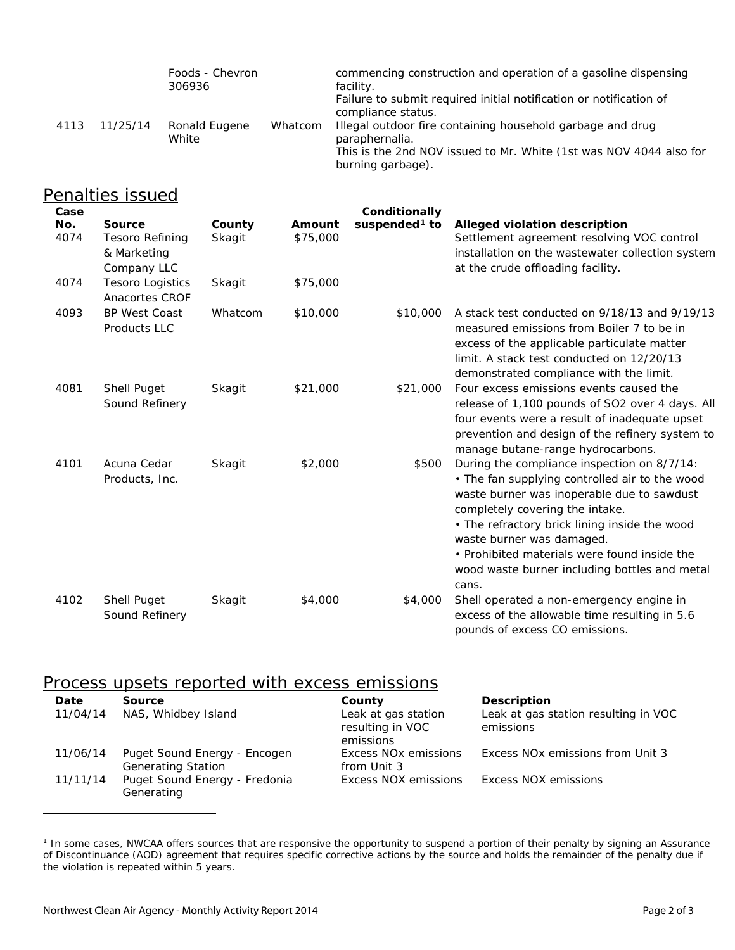|      |          | Foods - Chevron<br>306936 |         | commencing construction and operation of a gasoline dispensing<br>facility.<br>Failure to submit required initial notification or notification of<br>compliance status. |
|------|----------|---------------------------|---------|-------------------------------------------------------------------------------------------------------------------------------------------------------------------------|
| 4113 | 11/25/14 | Ronald Eugene<br>White    | Whatcom | Illegal outdoor fire containing household garbage and drug<br>paraphernalia.<br>This is the 2nd NOV issued to Mr. White (1st was NOV 4044 also for<br>burning garbage). |

# Penalties issued

| Case        |                                                                       |                  |                    | Conditionally             |                                                                                                                                                                                                                                                                                                                                                                        |
|-------------|-----------------------------------------------------------------------|------------------|--------------------|---------------------------|------------------------------------------------------------------------------------------------------------------------------------------------------------------------------------------------------------------------------------------------------------------------------------------------------------------------------------------------------------------------|
| No.<br>4074 | <b>Source</b><br><b>Tesoro Refining</b><br>& Marketing<br>Company LLC | County<br>Skagit | Amount<br>\$75,000 | suspended <sup>1</sup> to | Alleged violation description<br>Settlement agreement resolving VOC control<br>installation on the wastewater collection system<br>at the crude offloading facility.                                                                                                                                                                                                   |
| 4074        | <b>Tesoro Logistics</b><br>Anacortes CROF                             | Skagit           | \$75,000           |                           |                                                                                                                                                                                                                                                                                                                                                                        |
| 4093        | <b>BP West Coast</b><br>Products LLC                                  | Whatcom          | \$10,000           | \$10,000                  | A stack test conducted on 9/18/13 and 9/19/13<br>measured emissions from Boiler 7 to be in<br>excess of the applicable particulate matter<br>limit. A stack test conducted on 12/20/13<br>demonstrated compliance with the limit.                                                                                                                                      |
| 4081        | <b>Shell Puget</b><br>Sound Refinery                                  | Skagit           | \$21,000           | \$21,000                  | Four excess emissions events caused the<br>release of 1,100 pounds of SO2 over 4 days. All<br>four events were a result of inadequate upset<br>prevention and design of the refinery system to<br>manage butane-range hydrocarbons.                                                                                                                                    |
| 4101        | Acuna Cedar<br>Products, Inc.                                         | Skagit           | \$2,000            | \$500                     | During the compliance inspection on 8/7/14:<br>• The fan supplying controlled air to the wood<br>waste burner was inoperable due to sawdust<br>completely covering the intake.<br>• The refractory brick lining inside the wood<br>waste burner was damaged.<br>• Prohibited materials were found inside the<br>wood waste burner including bottles and metal<br>cans. |
| 4102        | Shell Puget<br>Sound Refinery                                         | Skagit           | \$4,000            | \$4,000                   | Shell operated a non-emergency engine in<br>excess of the allowable time resulting in 5.6<br>pounds of excess CO emissions.                                                                                                                                                                                                                                            |

### Process upsets reported with excess emissions

| Date     | <b>Source</b>                                             | County                                               | <b>Description</b>                                |
|----------|-----------------------------------------------------------|------------------------------------------------------|---------------------------------------------------|
| 11/04/14 | NAS, Whidbey Island                                       | Leak at gas station<br>resulting in VOC<br>emissions | Leak at gas station resulting in VOC<br>emissions |
| 11/06/14 | Puget Sound Energy - Encogen<br><b>Generating Station</b> | Excess NO <sub>x</sub> emissions<br>from Unit 3      | Excess NO <sub>x</sub> emissions from Unit 3      |
| 11/11/14 | Puget Sound Energy - Fredonia<br>Generating               | Excess NOX emissions                                 | Excess NOX emissions                              |

<span id="page-1-0"></span><sup>1</sup> In some cases, NWCAA offers sources that are responsive the opportunity to suspend a portion of their penalty by signing an Assurance of Discontinuance (AOD) agreement that requires specific corrective actions by the source and holds the remainder of the penalty due if the violation is repeated within 5 years.

 $\overline{a}$